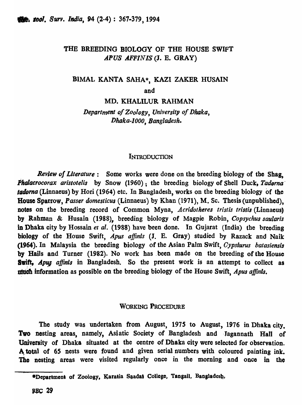# THE BREBDING BIOLOGY OF THE HOUSE SWIFT *APUS AFFINIS* (J. E. GRAY)

## BIMAI, KANTA SAHA\*, KAZI ZAKER HUSAIN

and

MD. KHALILUR RAHMAN

Department of Zoology, University of Dhaka, *Dhaka-IOOO, Bangladesh.* 

## **INTRODUCTION**

*Review of Literature:* Some works were done on the breeding biology of the Shag, *Phalacrocorax aristotelis* by Snow (1960); the breeding biology of Shell Duck, Tadorna tadorna (Linnaeus) by Hori (1964) etc. In Bangladesh, works on the breeding biology of the House Sparrow, *Passer domesticus* (Linnaeus) by Khan (1971), M. Se. Thesis(unpublished), notes on the breeding record of Common Myna, *Acridotheres tristis tristis* (Linnaeus) by Rahman & Husain (1988), breeding biology of Magpie Robin, *Copsychus sou/aris*  in Dhaka city by Hossain *et al.* (1988) have been done. In Gujarat (India) the breeding biology of the House Swift, *Apus offinis* (1. E. Gray) studied by Razack and Naik (1964). In Malaysia the breeding biology of the Asian Palm Swift, *Cyps/urus batasiensia*  by Hails and Turner (1982). No work has . been made on the breeding of the House Swift, Apus affinis in Bangladesh. So the present work is an attempt to collect as much information as possible on the breeding biology of the House Swift, *Apus affinis.* 

## WORKING PRocEDURE

The study was undertaken from August, *1975* to August, 1976 in Dhaka city. Two nesting areas, namely, Asiatic Society of Bangladesh and Jagannath Hall of University of Dhaka situated at the centre of Dhaka city were selected for observation. A, total of 6S nests were found and given serial numbers with coloured painting ink. The nesting areas were visited regularly once in the morning and once in the

<sup>\*</sup>Department of Zoology, Karatia Saadat College, Tangail, Bangladesh,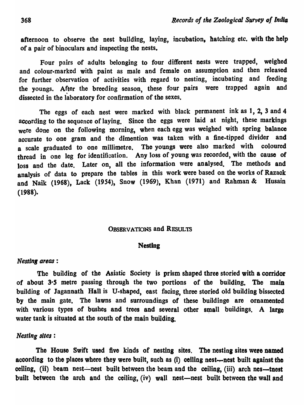afternoon to observe the nest building, laying, incubation, hatching etc. with the help of a pair of binoculars and inspecting the nests.

Four pairs of adults belonging to four different nests were trapped, weighed and colour-marked with paint as male and female on assumption and then released for further observation of activities with regard to nesting, incubating and feeding the youngs. After the breeding season, these four pairs were trapped again and dissected in the laboratory for confirmation of the sexes.

The eggs of each nest were marked with black permanent ink as 1, 2, 3 and 4 according to the sequence of laying. Since the eggs were laid at night, these markings were done on the following morning, when each egg was weighed with spring balance accurate to one gram and the dimention was taken with a fine-tipped divider and a scale graduated to one millimetre. The youngs were also marked with coloured thread in one leg for identification. Any loss of young was recorded, with the cause of loss and the date. Later on, all the information were analysed. The methods and analysis of data to prepare the tables in this work were based on the works of Razack and Naik (1968), Lack (1954), Snow (1969), Khan (1971) and Rahman& Husain (1988).

## OBSERVATIONS and RESULTS

## Nesting

#### *Nesting areas:*

The building of the Asiatic Society is prism shaped three storied with a corridor of about 3·5 metre passing through the two portions of the building. The main building of Jagannath Hall is U-shaped, east facing, three storied old building bissected by the main gate. The lawns and surroundings of these buildinge are ornamented with various types of bushes and trees and several other small buildings. A large water tank is situated at the south of the main building.

## *Nesting sites:*

The House Swift used five kinds of nesting sites. The nesting sites were named according to the places where they were built, such as (i) ceiling nest—nest built against the ceiling, (ii) beam nest—nest built between the beam and the ceiling, (iii) arch nes—tnest built between the arch and the ceiling, (iv) wall nest—nest built between the wall and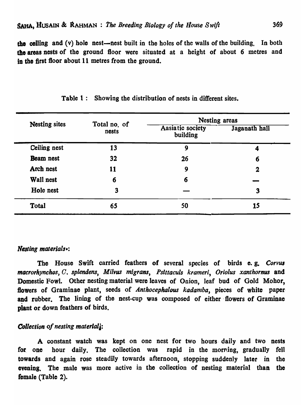the ceiling and (v) hole nest—nest built in the holes of the walls of the building. In both tho areas nests of the ground floor were situated at a height of about 6 metres and in the first floor about 11 metres from the ground.

|       | Nesting areas                       |               |  |
|-------|-------------------------------------|---------------|--|
| nests | <b>Aasiatic society</b><br>building | Jaganath hall |  |
| 13    | 9                                   | 4             |  |
| 32    | 26                                  | 6             |  |
| 11    | 9                                   | $\mathbf 2$   |  |
| 6     | 6                                   |               |  |
| 3     |                                     | 3             |  |
| 65    | 50                                  | 15            |  |
|       | Total no. of                        |               |  |

|  | Table 1: Showing the distribution of nests in different sites. |  |  |  |  |
|--|----------------------------------------------------------------|--|--|--|--|
|--|----------------------------------------------------------------|--|--|--|--|

## *Nesting materials*.:

The House Swift carried feathers of several species of birds e.g. *Corvus* macrorhynchos, C. splendens, Milvus migrans, Psittaculs krameri, Oriolus xanthornus and Domestic Fowl. Other nesting material were leaves of Onion, leaf bud of Gold Mohor, flowers of Graminae plant, seeds of *Anthocephalous kadamba*, pieces of white paper and rubber. The lining of the nest-cup was composed of either flowers of Graminae piant or down feathers of birds.

# *Collection of nesting materlalj:*

A constant watch was kept on one nest for two hours· daily and two nests for one hour daily. The collection was rapid in the morning, gradually fell towards and again rose steadily towards afternoon, stopping suddenly later in the evenins. The male was more active in the collection of nesting material than the female (Table 2).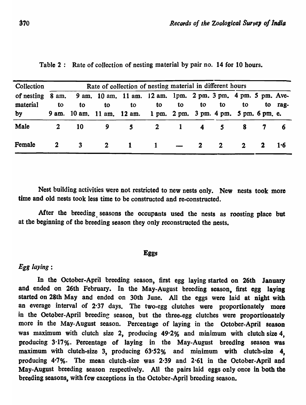| Collection | Rate of collection of nesting material in different hours |                         |    |                                                                   |    |    |                     |                         |    |             |         |
|------------|-----------------------------------------------------------|-------------------------|----|-------------------------------------------------------------------|----|----|---------------------|-------------------------|----|-------------|---------|
| of nesting | 8 am.                                                     |                         |    | 9 am. 10 am. 11 am. 12 am. 1pm. 2 pm. 3 pm. 4 pm. 5 pm. Ave-      |    |    |                     |                         |    |             |         |
| material   | to                                                        | to                      | to | to                                                                | to | to | to                  | to                      | to |             | to rag- |
| by         |                                                           |                         |    | 9 am. 10 am. 11 am. 12 am. 1 pm. 2 pm. 3 pm. 4 pm. 5 pm. 6 pm. e. |    |    |                     |                         |    |             |         |
| Male       |                                                           | $2 \t10$                |    | $9 \quad 5$                                                       |    |    | $2 \t1 \t4 \t5 \t8$ |                         |    |             |         |
| Female     | $\mathbf{2}$                                              | $\overline{\mathbf{3}}$ |    | $2 \quad 1 \quad 1$                                               |    |    | $-$ 2               | $\overline{\mathbf{2}}$ |    | $2 \quad 2$ | 1.6     |

Table 2 : Rate of collection of nesting material by pair no. 14 for 10 hours.

Nest building activities were not restricted to new nests only. New nests took more time and old nests took less time to be constructed and re-constructed.

After the breeding. seasons the occupants used the nests as roosting place but at the beginning of the breeding season they only reconstructed the nests.

#### Eggs

#### *Egg laying:*

In the October-April breeding season, first egg laying started on 26th January and ended on 26th February. In the May-August breeding season, first egg laying started on 28th May and ended on 30th June. All the eggs were laid at night with an everage interval of 2-37 days. The two-egg clutches were proportionately more in the Oetober-April breeding season, but the three-egg clutches were proportionately more in the May-August season. Percentage of laying in the October-April season was maximum with clutch size 2, producing 49·2% and minimum with clutch size 4, producing 3·17%. Percentage of laying in the May-August breeding season was maximum with clutch-size 3, producing 63·52% and minimum with clutch-size 4, producing 4·7%. The mean clutch-size was 2·39 and 2-61 in the October-April and May-August breeding season respectively. All the pairs laid eggs only once in both the breeding seasons, with few exceptions in the October-April breeding season.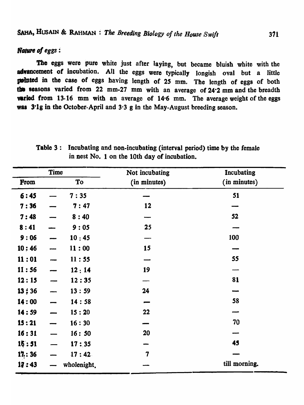Nature of *eggs*:

The eggs were pure white just after laying, but became bluish white with the advancement of incubation. All the eggs were typically longish oval but a little pointed in the case of eggs having length of 25 mm. The length of eggs of both the seasons varied from 22 mm-27 mm with an average of 24.2 mm and the breadth varied from 13-16 mm with an average of 14.6 mm. The average weight of the eggs was 3'lg in the October-April and 3-3 g in the May-August breeding season.

|       | Time        |             | Not incubating   | Incubating    |
|-------|-------------|-------------|------------------|---------------|
| From  |             | To          | (in minutes)     | (in minutes)  |
| 6:45  |             | 7:35        |                  | 51            |
| 7:36  |             | 7:47        | 12               |               |
| 7:48  |             | 8:40        |                  | 52            |
| 8:41  |             | 9:05        | 25               |               |
| 9:06  |             | 10:45       |                  | 100           |
| 10:46 |             | 11:00       | 15               |               |
| 11:01 |             | 11:55       |                  | 55            |
| 11:56 | <u>ener</u> | 12:14       | 19               |               |
| 12:15 |             | 12:35       |                  | 81            |
| 13;36 |             | 13:59       | 24               |               |
| 14:00 |             | 14:58       |                  | 58            |
| 14:59 |             | 15:20       | 22               |               |
| 15:21 |             | 16:30       |                  | 70            |
| 16:31 |             | 16:50       | 20               |               |
| 16:51 |             | 17:35       |                  | 45            |
| 17:36 |             | 17:42       | $\boldsymbol{7}$ |               |
| 17:43 |             | wholenight. |                  | till morning. |

Table 3: Incubating and non-incubating (interval period) time by the female in nest No.1 on the 10th day of incubation.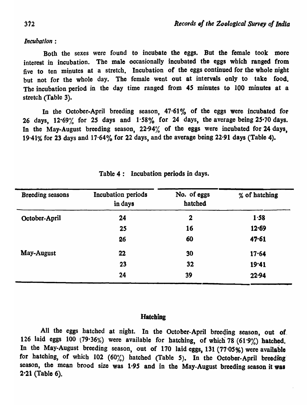## *Incubation :*

Both the sexes were found to incubate the eggs. But the female took more interest in incubation. The male occasionally incubated the eggs which ranged from five to ten minutes at a stretch. Incubation of the eggs continued for the whole night but not for the whole day. The female went out at intervals only to take food. The incubation period in the day time ranged from 45 minutes to 100 minutes at a stretch (Table 3).

In the October-April breeding season,  $47.61\%$  of the eggs were incubated for 26 days, 12-69% for 25 days and 1-58% for 24 days, the average being 25-70 days. In the May-August breeding season,  $22.94\%$  of the eggs were incubated for 24 days, 19.41% for 23 days and  $17.64\%$  for 22 days, and the average being 22.91 days (Table 4).

| <b>Breeding seasons</b> | Incubation periods<br>in days | No. of eggs<br>hatched | % of hatching |
|-------------------------|-------------------------------|------------------------|---------------|
| October-April           | 24                            | $\mathbf 2$            | 1:58          |
|                         | 25                            | 16                     | 12.69         |
|                         | 26                            | 60                     | 47.61         |
| May-August              | 22                            | 30                     | $17 - 64$     |
|                         | 23                            | 32                     | 19.41         |
|                         | 24                            | 39                     | 22.94         |

|  | Table 4: Incubation periods in days. |  |  |  |
|--|--------------------------------------|--|--|--|
|--|--------------------------------------|--|--|--|

# Hatching

All the eggs hatched at night. In the October-April breeding season, out of. 126 laid eggs 100 (79.36%) were available for hatching, of which 78 (61.9%) hatched. In the May-August breeding season, out of 170 laid eggs, 131 (77.05%) were available for hatching, of which  $102$  (60%) hatched (Table 5). In the October-April breeding season, the mean brood size was 1-95 and in the May-August breeding season it was  $2.21$  (Table 6).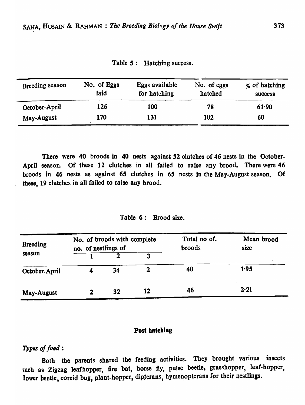| <b>Breeding season</b> | No. of Eggs<br>laid | Eggs available<br>for hatching | No. of eggs<br>hatched | % of hatching<br>success |
|------------------------|---------------------|--------------------------------|------------------------|--------------------------|
| Oetober-April          | 126                 | 100                            | 78                     | 61.90                    |
| May-August             | 170                 | 131                            | 102                    | 60                       |

Table 5: Hatching success.

There were 40 broods in 40 nests against 52 clutches of 46 nests in the October-April season. Of these 12 clutches in all failed to raise any brood. There were 46 broods in 46 nests as against  $65$  clutches in  $65$  nests in the May-August season. Of these, 19 clutches in all failed to raise any brood.

| Table 6: | Brood size. |  |
|----------|-------------|--|
|----------|-------------|--|

| <b>Breeding</b> | No. of broods with complete<br>no. of nestlings of |    |    | Total no of.<br>broods | Mean brood<br>size |  |
|-----------------|----------------------------------------------------|----|----|------------------------|--------------------|--|
| season          |                                                    |    |    |                        |                    |  |
| October-April   |                                                    | 34 |    | 40                     | 1.95               |  |
| May-August      |                                                    | 32 | 12 | 46                     | 2.21               |  |

#### Post hatching

## Types of food :

Both the parents shared the feeding activities. They brought various insects such as Zigzag leafhopper, fire bat, horse fly, pulse beetle, grasshopper, leaf-hopper, flower beetle, coreid bug, plant-hopper, dipterans, hymenopterans for their nestlings.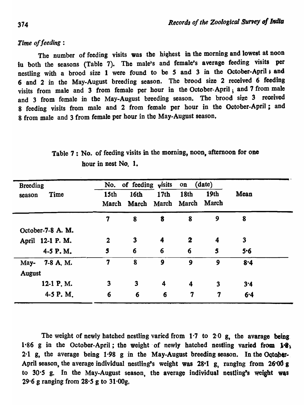*Time of feeding :* 

The number of feeding visits was the highest in the morning and lowest at noon iu both the seasons (Table 7). The male's and female's average feeding visits per nestling with a brood size 1 were found to be 5 and 3 in the October-April; and 6 and 2 in the May-August breeding season. The brood size 2 received 6 feeding visits from male and 3 from female per hour in the October-April; and 7 from male and 3 from female in the May-August breeding season. The brood size 3 received 8 feeding visits from male and 2 from female per hour in the October-April; and 8 from male and 3 from female per hour in the May-August season,

Table 7 : No. of feeding visits in the morning, noon, afternoon for one hour in nest No.1.

| <b>Breeding</b>   | No.                     | of feeding visits             |                         | on               | (date)                  |      |  |
|-------------------|-------------------------|-------------------------------|-------------------------|------------------|-------------------------|------|--|
| Time<br>season    | <b>15th</b>             | <b>16th</b>                   | 17 <sub>th</sub>        | <b>18th</b>      | 19th                    | Mean |  |
|                   |                         | March March March March March |                         |                  |                         |      |  |
|                   | 7                       | 8                             | $\ddot{\bm{8}}$         | 8                | 9                       | 8    |  |
| October-7-8 A. M. |                         |                               |                         |                  |                         |      |  |
| April 12-1 P. M.  | $\overline{\mathbf{2}}$ | $\mathbf{3}$                  | 4                       | 2                | 4                       | 3    |  |
| 4-5 P.M.          | 5                       | 6                             | 6                       | 6                | 5                       | 5.6  |  |
| 7-8 A, M.<br>May- | $\overline{7}$          | 8                             | 9                       | 9                | 9                       | 8.4  |  |
| <b>August</b>     |                         |                               |                         |                  |                         |      |  |
| 12-1 P.M.         | 3                       | $\overline{\mathbf{3}}$       | $\overline{\mathbf{4}}$ | 4                | $\overline{\mathbf{3}}$ | 3.4  |  |
| 4-5 P. M.         | 6                       | 6                             | 6                       | $\boldsymbol{7}$ | 7                       | 6.4  |  |

The weight of newly hatched nestling varied from  $1.7$  to  $2.0$  g, the avarage being 1.86 g in the October-April; the weight of newly hatched nestling varied from  $1\mathcal{F}_s$ .  $2·1$  g, the average being  $1·98$  g in the May-August breeding season. In the October-April season, the average individual nestling's weight was 28.1 g, ranging from 26.00 g to 30.5 g. In the May-August season, the average individual nestling's weight was 29 $\cdot$ 6 g ranging from 28 $\cdot$ 5 g to 31 $\cdot$ 00g,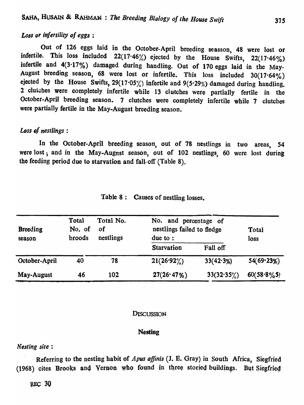## *Loss or infertility of eggs:*

Out of 126 eggs laid in the October-April breeding seasson, 48 were lost or infertile. This loss included  $22(17.46\%)$  ejected by the House Swifts,  $22(17.46\%)$ infertile and  $4(3.17\%)$  damaged during handling. Out of 170 eggs laid in the May-August breeding season, 68 were lost or infertile. This loss included 30(17-64%) ejected by the House Swifts,  $29(17.05\%)$  infertile and  $9(5.29\%)$  damaged during handling. 2 clutches were completely infertile while 13 clutches were partially fertile in the October-April breeding season. 7 clutches were completely infertile while 7 clutches were partially fertile in the May-August breeding season.

## *LDSS Df nestlings:*

In the October-April breeding season, out of 78 nestlings in two areas, S4 were lost; and in the May-Augnst season, out of 102 nestlings, 60 were lost during the feeding period due to starvation and fall- off (Table 8).

| <b>Breeding</b><br>season | Total<br>No. of<br>broods | Total No.<br>0f<br>nestlings | No. and percentage of<br>nestlings failed to fledge<br>due to: | Total<br>loss |                |
|---------------------------|---------------------------|------------------------------|----------------------------------------------------------------|---------------|----------------|
|                           |                           |                              | <b>Starvation</b>                                              | Fall off      |                |
| October-April             | 40                        | 78                           | 21(26.92%)                                                     | 33(42.3%)     | 54(69.23%)     |
| May-August                | 46                        | 102                          | 27(26.47%)                                                     | 33(32.35%)    | $60(58.8\%/5)$ |

|  |  |  | Table 8: Causes of nestling losses. |  |  |  |
|--|--|--|-------------------------------------|--|--|--|
|--|--|--|-------------------------------------|--|--|--|

#### **DISCUSSION**

## Nesting

## *Nesting site:*

Referring to the nesting habit of *Apus affinis* (J. E. Gray) in South Africa, Siegfried (1968) cites Brooks and Vernon who found in three storied buildings. But Siegfried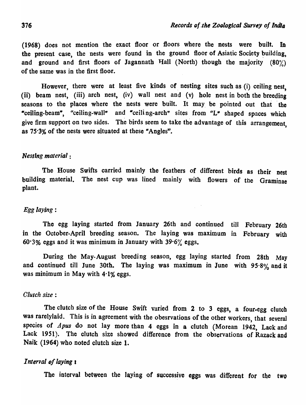$(1968)$  does not mention the exact floor or floors where the nests were built. In the present case, the nests were found in the ground floor of Asiatic Society building, and ground and first floors of Jagannath Hall (North) though the majority  $(80\%)$ of the same was in the first floor.

However, there were at least five kinds of nesting sites such as (i) ceiling nest, (ii) beam nest, (iii) arch nest, (iv) wall nest and (v) hole nest in both the breeding seasons to the places where the nests were built. It may be pointed out that the ·ceiling-beam", "ceiling-wall" and "ceili ng-arch" sites from "L" shaped spaces which give firm support on two sides. The birds seem to take the advantage of this arrangement, as 75'3% of the nests were situated at these "Angles".

## *Nesting material:*

The House Swifts carried mainly the feathers of different birds as their nest building material. The nest cup was lined mainly with flowers of the Graminae plant.

#### *Egg laying:*

The egg laying started from January 26th and continued till February 26th in the October-April breeding season. The laying was maximum in February with 60.3% eggs and it was minimum in January with  $39.6\%$  eggs.

During the May-August breeding season, egg laying started from 28th May and continued till June 30th. The laying was maximum in June with 95.8% and it was minimum in May with 4-1% eggs.

#### *Clutch size* :

The clutch size of the House Swift varied from 2 to 3 eggs, a four-egg clutch was rarelylaid. This is in agreement with the obesrvations of the other workers, that several species of *Apus* do not lay more than 4 eggs in a clutch (Morean 1942, Lack and Lack 1951). The clutch size showed difference from the observations of Razack and Naik (1964) who noted clutch size 1.

## *Interval of laying 1*

The interval between the laying of successive eggs was different for the two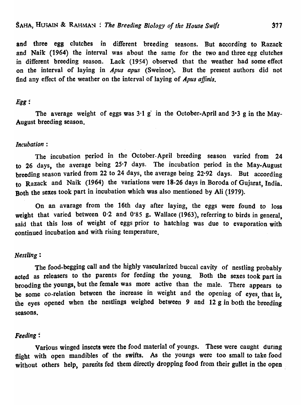and three egg clutches in different breeding seasons. But according to Razack and Naik (1964) the interval was· about the same for the two and three egg clutches in different breeding season. Lack (1954) observed that the weather had some effect on the interval of laying in *Apus opus* (Sweinoe). But the present authors did not find any effect of the weather on the interval of laying of *Apus affinis.* 

## *Egg:*

The average weight of eggs was 3·1 g' in the October-April and 3-3 g in the May-August breeding season.

# *Incubation* : - -

The incubation period in the October- April breeding season varied from 24 to 26 days, the average being 25·7 days. The incubation period in the May-August breeding season varied from 22 to 24 days, the average being 22·92 days. But according to Razack and Naik (1964) the variations were 18-26 days in Boroda of Gujarat, India. Both the sexes took part in incubation which was also mentioned by Ali (1979).

On an avarage from the 16th day after laying, the eggs were found to Joss weight that varied between 0.2 and 0.85 g. Wallace (1963), referring to birds in general, said that this loss of weight of eggs prior to hatching was due to evaporation with continued incubation and with rising temperature.

#### *Nestling:*

The food-begging call and the highly vascularized buccal cavity of nestling probablyacted as releasers to the parents for feeding the young. Both the sexes took part in brooding the youngs, but the female was more active than the male. There appears to be some co-relation between the increase in weight and the opening of eyes, that is, the eyes opened when the nestlings weighed between 9 and 12 g in both the breeding seasons.

#### *Feeding:*

Various winged insects were the food material of youngs. These were caught during flight with open mandibles of the swifts. As the youngs were too small to take food without others help, parents fed them directly dropping food from their gullet in the open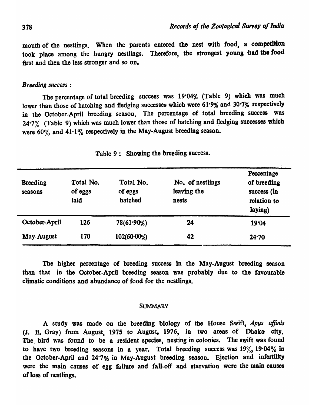mouth of the nestlings. When the parents entered the nest with food; a competition took place among the hungry nestlings. Therefore, the strongest young had the-food first and then the less stronger and so OD.

#### *Breeding success:*

The percentage of total breeding success was 19'04% (Table 9) which was much lower than those of hatching and fledging successes which were 61.9% and 30.7% respectively in the October-April breeding season. The percentage of total breeding success was 24.7% (Table 9) which was much lower than those of hatching and fledging successes which were  $60\%$  and  $41.1\%$  respectively in the May-August breeding season.

| <b>Breeding</b><br>seasons | Total No.<br>of eggs<br>laid | Total No.<br>of eggs<br>hatched | No. of nestlings<br>leaving the<br>nests | Percentage<br>of breeding<br>success (in<br>relation to<br>laying) |
|----------------------------|------------------------------|---------------------------------|------------------------------------------|--------------------------------------------------------------------|
| October-April              | 126                          | 78(61.90%)                      | 24                                       | 19.04                                                              |
| <b>May-August</b>          | 170                          | $102(60.00\%)$                  | 42                                       | $24 - 70$                                                          |

Table 9: Showing the breeding success.

The higher percentage of breeding success in the May-August breeding season than that in the October-April breeding season was probably due to the favourable climatic conditions and abundance of food for the nestlings.

#### **SUMMARY**

A study was made on the breeding biology of the House Swift, *Apus affinis*  (J. B. Gray) from August, 1975 to August, 1976, in two areas of Dhaka· city. The bird was found to be a resident species, nesting in colonies. The swift was found to have two breeding seasons in a year. Total breeding success was  $19\%$ ,  $19.04\%$  in the October-April and 24.7% in May-August breeding season. Ejection and infertility were the main causes of egg failure and fall-off and starvation were the main causes of loss of nestlings.